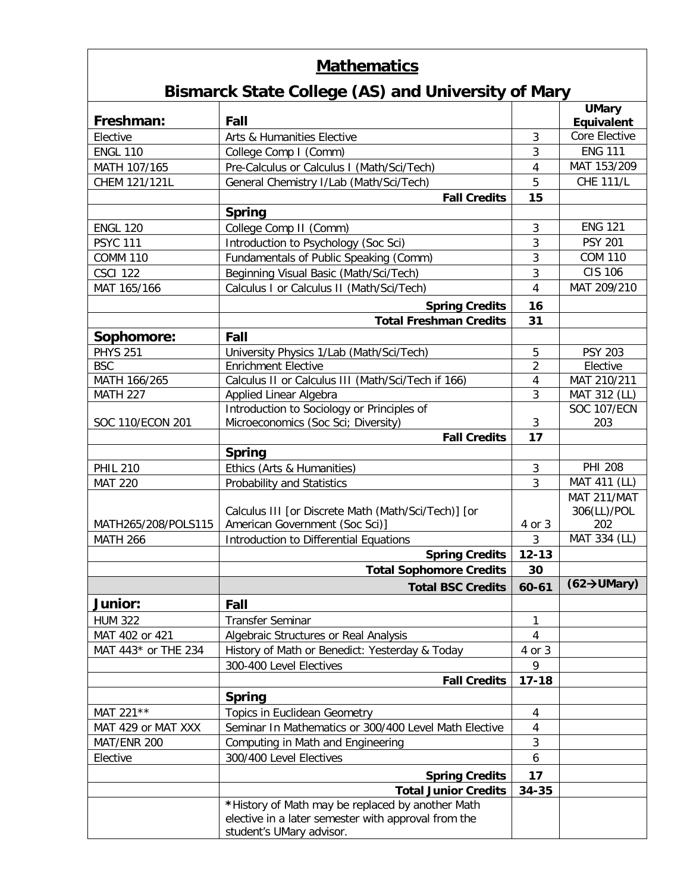## **Mathematics**

## **Bismarck State College (AS) and University of Mary**

| Freshman:           | Fall                                                       |                | <b>UMary</b>                    |
|---------------------|------------------------------------------------------------|----------------|---------------------------------|
|                     |                                                            |                | Equivalent<br>Core Elective     |
| Elective            | Arts & Humanities Elective                                 | 3              | <b>ENG 111</b>                  |
| <b>ENGL 110</b>     | College Comp I (Comm)                                      | 3              | MAT 153/209                     |
| MATH 107/165        | Pre-Calculus or Calculus I (Math/Sci/Tech)                 | 4              | <b>CHE 111/L</b>                |
| CHEM 121/121L       | General Chemistry I/Lab (Math/Sci/Tech)                    | 5              |                                 |
|                     | <b>Fall Credits</b>                                        | 15             |                                 |
|                     | <b>Spring</b>                                              |                | <b>ENG 121</b>                  |
| <b>ENGL 120</b>     | College Comp II (Comm)                                     | 3              | <b>PSY 201</b>                  |
| <b>PSYC 111</b>     | Introduction to Psychology (Soc Sci)                       | 3              | <b>COM 110</b>                  |
| <b>COMM 110</b>     | Fundamentals of Public Speaking (Comm)                     | 3              | <b>CIS 106</b>                  |
| <b>CSCI 122</b>     | Beginning Visual Basic (Math/Sci/Tech)                     | 3              | MAT 209/210                     |
| MAT 165/166         | Calculus I or Calculus II (Math/Sci/Tech)                  | 4              |                                 |
|                     | <b>Spring Credits</b>                                      | 16             |                                 |
|                     | <b>Total Freshman Credits</b>                              | 31             |                                 |
| Sophomore:          | Fall                                                       |                |                                 |
| <b>PHYS 251</b>     | University Physics 1/Lab (Math/Sci/Tech)                   | 5              | <b>PSY 203</b>                  |
| <b>BSC</b>          | <b>Enrichment Elective</b>                                 | $\overline{2}$ | Elective                        |
| MATH 166/265        | Calculus II or Calculus III (Math/Sci/Tech if 166)         | 4              | MAT 210/211                     |
| <b>MATH 227</b>     | Applied Linear Algebra                                     | 3              | MAT 312 (LL)                    |
| SOC 110/ECON 201    | Introduction to Sociology or Principles of                 | 3              | <b>SOC 107/ECN</b><br>203       |
|                     | Microeconomics (Soc Sci; Diversity)<br><b>Fall Credits</b> | 17             |                                 |
|                     | <b>Spring</b>                                              |                |                                 |
| <b>PHIL 210</b>     | Ethics (Arts & Humanities)                                 | 3              | <b>PHI 208</b>                  |
| <b>MAT 220</b>      | Probability and Statistics                                 | 3              | MAT 411 (LL)                    |
|                     |                                                            |                | MAT 211/MAT                     |
|                     | Calculus III [or Discrete Math (Math/Sci/Tech)] [or        |                | 306(LL)/POL                     |
| MATH265/208/POLS115 | American Government (Soc Sci)]                             | 4 or 3         | 202                             |
| <b>MATH 266</b>     | Introduction to Differential Equations                     | 3              | MAT 334 (LL)                    |
|                     | <b>Spring Credits</b>                                      | $12 - 13$      |                                 |
|                     | <b>Total Sophomore Credits</b>                             | 30             |                                 |
|                     | <b>Total BSC Credits</b>                                   | $60 - 61$      | $(62 \rightarrow \text{UMary})$ |
| <b>Junior:</b>      | Fall                                                       |                |                                 |
| <b>HUM 322</b>      | <b>Transfer Seminar</b>                                    | 1              |                                 |
| MAT 402 or 421      | Algebraic Structures or Real Analysis                      | 4              |                                 |
| MAT 443* or THE 234 | History of Math or Benedict: Yesterday & Today             | 4 or 3         |                                 |
|                     | 300-400 Level Electives                                    | 9              |                                 |
|                     | <b>Fall Credits</b>                                        | $17 - 18$      |                                 |
|                     | <b>Spring</b>                                              |                |                                 |
| MAT 221**           | Topics in Euclidean Geometry                               | 4              |                                 |
| MAT 429 or MAT XXX  | Seminar In Mathematics or 300/400 Level Math Elective      | 4              |                                 |
| MAT/ENR 200         | Computing in Math and Engineering                          | 3              |                                 |
| Elective            | 300/400 Level Electives                                    | 6              |                                 |
|                     | <b>Spring Credits</b>                                      | 17             |                                 |
|                     | <b>Total Junior Credits</b>                                | 34-35          |                                 |
|                     | *History of Math may be replaced by another Math           |                |                                 |
|                     | elective in a later semester with approval from the        |                |                                 |
|                     | student's UMary advisor.                                   |                |                                 |